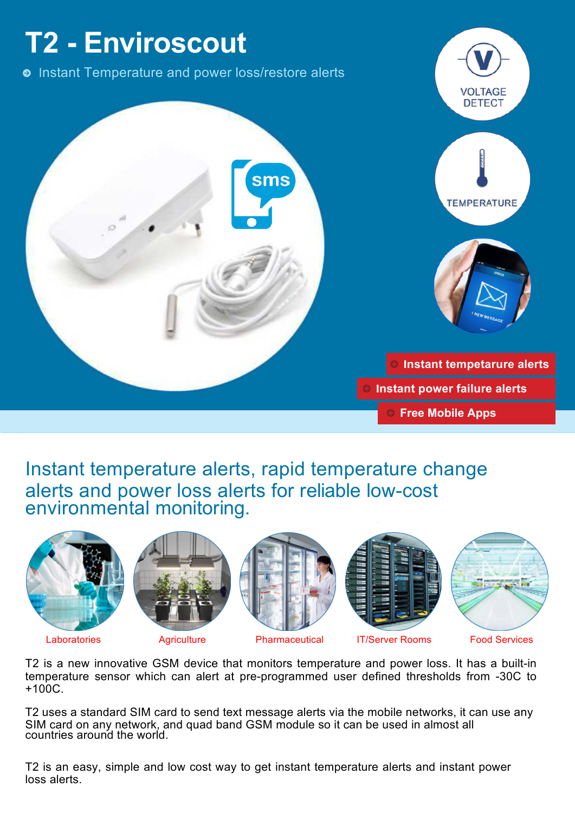

Instant temperature alerts, rapid temperature change alerts and power loss alerts for reliable low-cost environmental monitoring.













T2 is a new innovative GSM device that monitors temperature and power loss. It has a built-in +100C. temperature sensor which can alert at pre-programmed user defined thresholds from -30C to

countries around the world. SIM card on any network, and quad band GSM module so it can be used in almost all T2 uses a standard SIM card to send text message alerts via the mobile networks, it can use any

loss alerts. T2 is an easy, simple and low cost way to get instant temperature alerts and instant power